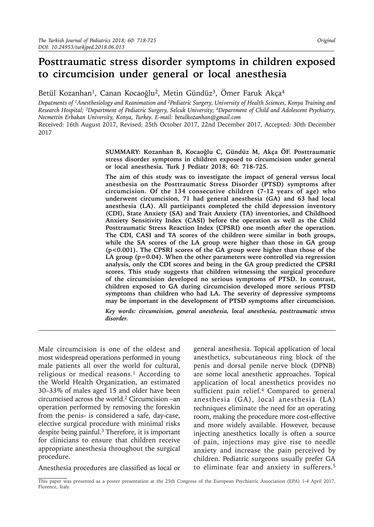# **Posttraumatic stress disorder symptoms in children exposed to circumcision under general or local anesthesia**

Betül Kozanhan<sup>1</sup>, Canan Kocaoğlu<sup>2</sup>, Metin Gündüz<sup>3</sup>, Ömer Faruk Akça<sup>4</sup>

*Depatments of 1Anesthesiology and Reanimation and 2Pediatric Surgery, University of Health Sciences, Konya Training and Research Hospital; 3Department of Pediatric Surgery, Selcuk University; 4Department of Child and Adolescent Psychiatry, Necmettin Erbakan University, Konya, Turkey. E-mail: betulkozanhan@gmail.com* Received: 16th August 2017, Revised: 25th October 2017, 22nd December 2017, Accepted: 30th December 2017

> **SUMMARY: Kozanhan B, Kocaoğlu C, Gündüz M, Akça ÖF. Posttraumatic stress disorder symptoms in children exposed to circumcision under general or local anesthesia. Turk J Pediatr 2018; 60: 718-725.**

> **The aim of this study was to investigate the impact of general versus local anesthesia on the Posttraumatic Stress Disorder (PTSD) symptoms after circumcision. Of the 134 consecutive children (7-12 years of age) who underwent circumcision, 71 had general anesthesia (GA) and 63 had local anesthesia (LA). All participants completed the child depression inventory (CDI), State Anxiety (SA) and Trait Anxiety (TA) inventories, and Childhood Anxiety Sensitivity Index (CASI) before the operation as well as the Child Posttraumatic Stress Reaction Index (CPSRI) one month after the operation. The CDI, CASI and TA scores of the children were similar in both groups, while the SA scores of the LA group were higher than those in GA group (p<0.001). The CPSRI scores of the GA group were higher than those of the LA group (p=0.04). When the other parameters were controlled via regression analysis, only the CDI scores and being in the GA group predicted the CPSRI scores. This study suggests that children witnessing the surgical procedure of the circumcision developed no serious symptoms of PTSD. In contrast, children exposed to GA during circumcision developed more serious PTSD symptoms than children who had LA. The severity of depressive symptoms may be important in the development of PTSD symptoms after circumcision.**

> *Key words: circumcision, general anesthesia, local anesthesia, posttraumatic stress disorder.*

Male circumcision is one of the oldest and most widespread operations performed in young male patients all over the world for cultural, religious or medical reasons.<sup>1</sup> According to the World Health Organization, an estimated 30–33% of males aged 15 and older have been circumcised across the world.<sup>2</sup> Circumcision –an operation performed by removing the foreskin from the penis- is considered a safe, day-case, elective surgical procedure with minimal risks despite being painful.<sup>3</sup> Therefore, it is important for clinicians to ensure that children receive appropriate anesthesia throughout the surgical procedure.

Anesthesia procedures are classified as local or

general anesthesia. Topical application of local anesthetics, subcutaneous ring block of the penis and dorsal penile nerve block (DPNB) are some local anesthetic approaches. Topical application of local anesthetics provides no sufficient pain relief.4 Compared to general anesthesia (GA), local anesthesia (LA) techniques eliminate the need for an operating room, making the procedure more cost-effective and more widely available. However, because injecting anesthetics locally is often a source of pain, injections may give rise to needle anxiety and increase the pain perceived by children. Pediatric surgeons usually prefer GA to eliminate fear and anxiety in sufferers.5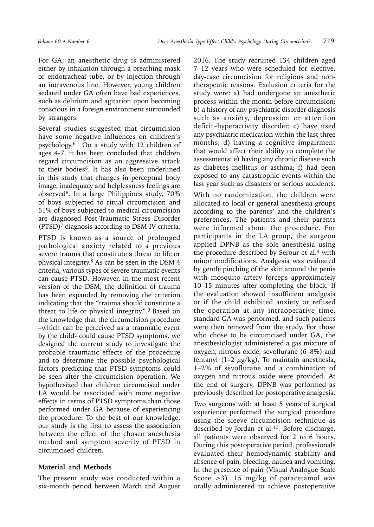For GA, an anesthetic drug is administered either by inhalation through a breathing mask or endotracheal tube, or by injection through an intravenous line. However, young children sedated under GA often have bad experiences, such as delirium and agitation upon becoming conscious in a foreign environment surrounded by strangers.

Several studies suggested that circumcision have some negative influences on children's psychology.6,7 On a study with 12 children of ages 4-7, it has been concluded that children regard circumcision as an aggressive attack to their bodies<sup>6</sup>. It has also been underlined in this study that changes in perceptual body image, inadequacy and helplessness feelings are observed6. In a large Philippines study, 70% of boys subjected to ritual circumcision and 51% of boys subjected to medical circumcision are diagnosed Post-Traumatic Stress Disorder (PTSD)7 diagnosis according to DSM-IV criteria.

PTSD is known as a source of prolonged pathological anxiety related to a previous severe trauma that constitute a threat to life or physical integrity.8 As can be seen in the DSM 4 criteria, various types of severe traumatic events can cause PTSD. However, in the most recent version of the DSM, the definition of trauma has been expanded by removing the criterion indicating that the "trauma should constitute a threat to life or physical integrity".9 Based on the knowledge that the circumcision procedure –which can be perceived as a traumatic event by the child- could cause PTSD symptoms, we designed the current study to investigate the probable traumatic effects of the procedure and to determine the possible psychological factors predicting that PTSD symptoms could be seen after the circumcision operation. We hypothesized that children circumcised under LA would be associated with more negative effects in terms of PTSD symptoms than those performed under GA because of experiencing the procedure. To the best of our knowledge, our study is the first to assess the association between the effect of the chosen anesthesia method and symptom severity of PTSD in circumcised children.

#### **Material and Methods**

The present study was conducted within a six-month period between March and August

2016. The study recruited 134 children aged 7–12 years who were scheduled for elective, day-case circumcision for religious and nontherapeutic reasons. Exclusion criteria for the study were: a) had undergone an anesthetic process within the month before circumcision; b) a history of any psychiatric disorder diagnosis such as anxiety, depression or attention deficit–hyperactivity disorder; c) have used any psychiatric medication within the last three months; d) having a cognitive impairment that would affect their ability to complete the assessments; e) having any chronic disease such as diabetes mellitus or asthma; f) had been exposed to any catastrophic events within the last year such as disasters or serious accidents.

With no randomization, the children were allocated to local or general anesthesia groups according to the parents' and the children's preferences. The patients and their parents were informed about the procedure. For participants in the LA group, the surgeon applied DPNB as the sole anesthesia using the procedure described by Serour et al.4 with minor modifications. Analgesia was evaluated by gentle pinching of the skin around the penis with mosquito artery forceps approximately 10–15 minutes after completing the block. If the evaluation showed insufficient analgesia or if the child exhibited anxiety or refused the operation at any intraoperative time, standard GA was performed, and such patients were then removed from the study. For those who chose to be circumcised under GA, the anesthesiologist administered a gas mixture of oxygen, nitrous oxide, sevoflurane (6–8%) and fentanyl (1–2  $\mu$ g/kg). To maintain anesthesia, 1–2% of sevoflurane and a combination of oxygen and nitrous oxide were provided. At the end of surgery, DPNB was performed as previously described for postoperative analgesia.

Two surgeons with at least 5 years of surgical experience performed the surgical procedure using the sleeve circumcision technique as described by Jordan et al.<sup>10</sup>. Before discharge, all patients were observed for 2 to 6 hours. During this postoperative period, professionals evaluated their hemodynamic stability and absence of pain, bleeding, nausea and vomiting. In the presence of pain (Visual Analogue Scale Score  $>3$ ), 15 mg/kg of paracetamol was orally administered to achieve postoperative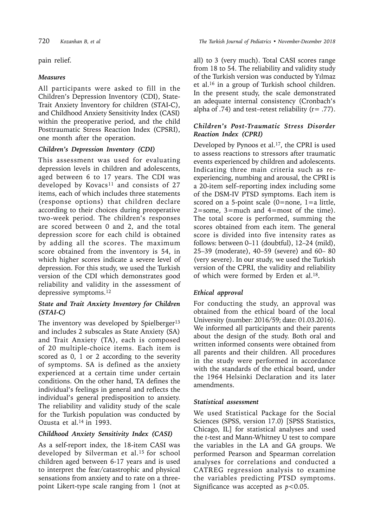pain relief.

#### *Measures*

All participants were asked to fill in the Children's Depression Inventory (CDI), State-Trait Anxiety Inventory for children (STAI-C), and Childhood Anxiety Sensitivity Index (CASI) within the preoperative period, and the child Posttraumatic Stress Reaction Index (CPSRI), one month after the operation.

## *Children's Depression Inventory (CDI)*

This assessment was used for evaluating depression levels in children and adolescents, aged between 6 to 17 years. The CDI was developed by Kovacs<sup>11</sup> and consists of 27 items, each of which includes three statements (response options) that children declare according to their choices during preoperative two-week period. The children's responses are scored between 0 and 2, and the total depression score for each child is obtained by adding all the scores. The maximum score obtained from the inventory is 54, in which higher scores indicate a severe level of depression. For this study, we used the Turkish version of the CDI which demonstrates good reliability and validity in the assessment of depressive symptoms.<sup>12</sup>

## *State and Trait Anxiety Inventory for Children (STAI-C)*

The inventory was developed by Spielberger $13$ and includes 2 subscales as State Anxiety (SA) and Trait Anxiety (TA), each is composed of 20 multiple-choice items. Each item is scored as 0, 1 or 2 according to the severity of symptoms. SA is defined as the anxiety experienced at a certain time under certain conditions. On the other hand, TA defines the individual's feelings in general and reflects the individual's general predisposition to anxiety. The reliability and validity study of the scale for the Turkish population was conducted by Ozusta et al. $14$  in 1993.

# *Childhood Anxiety Sensitivity Index (CASI)*

As a self-report index, the 18-item CASI was developed by Silverman et al.<sup>15</sup> for school children aged between 6-17 years and is used to interpret the fear/catastrophic and physical sensations from anxiety and to rate on a threepoint Likert-type scale ranging from 1 (not at all) to 3 (very much). Total CASI scores range from 18 to 54. The reliability and validity study of the Turkish version was conducted by Yılmaz et al.16 in a group of Turkish school children. In the present study, the scale demonstrated an adequate internal consistency (Cronbach's alpha of  $.74$ ) and test–retest reliability ( $r = .77$ ).

### *Children's Post-Traumatic Stress Disorder Reaction Index (CPRI)*

Developed by Pynoos et al.<sup>17</sup>, the CPRI is used to assess reactions to stressors after traumatic events experienced by children and adolescents. Indicating three main criteria such as reexperiencing, numbing and arousal, the CPRI is a 20-item self–reporting index including some of the DSM-IV PTSD symptoms. Each item is scored on a 5-point scale (0=none, 1=a little, 2=some, 3=much and 4=most of the time). The total score is performed, summing the scores obtained from each item. The general score is divided into five intensity rates as follows: between 0–11 (doubtful), 12–24 (mild), 25–39 (moderate), 40–59 (severe) and 60– 80 (very severe). In our study, we used the Turkish version of the CPRI, the validity and reliability of which were formed by Erden et al.18.

# *Ethical approval*

For conducting the study, an approval was obtained from the ethical board of the local University (number: 2016/59; date: 01.03.2016). We informed all participants and their parents about the design of the study. Both oral and written informed consents were obtained from all parents and their children. All procedures in the study were performed in accordance with the standards of the ethical board, under the 1964 Helsinki Declaration and its later amendments.

#### *Statistical assessment*

We used Statistical Package for the Social Sciences (SPSS, version 17.0) [SPSS Statistics, Chicago, IL] for statistical analyses and used the *t*-test and Mann-Whitney U test to compare the variables in the LA and GA groups. We performed Pearson and Spearman correlation analyses for correlations and conducted a CATREG regression analysis to examine the variables predicting PTSD symptoms. Significance was accepted as *p*<0.05.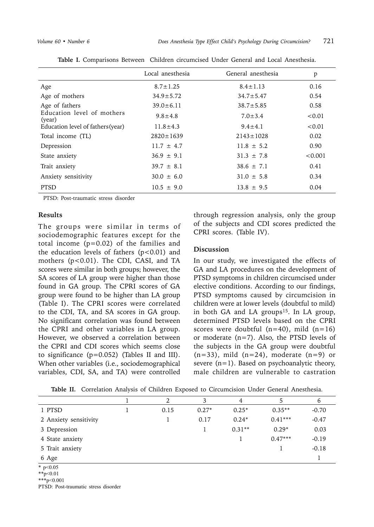|                                      | Local anesthesia | General anesthesia | p       |
|--------------------------------------|------------------|--------------------|---------|
| Age                                  | $8.7 \pm 1.25$   | $8.4 \pm 1.13$     | 0.16    |
| Age of mothers                       | $34.9 \pm 5.72$  | $34.7 \pm 5.47$    | 0.54    |
| Age of fathers                       | $39.0 \pm 6.11$  | $38.7 \pm 5.85$    | 0.58    |
| Education level of mothers<br>(year) | $9.8 \pm 4.8$    | $7.0 \pm 3.4$      | < 0.01  |
| Education level of fathers (year)    | $11.8 \pm 4.3$   | $9.4 \pm 4.1$      | < 0.01  |
| Total income (TL)                    | $2820 \pm 1639$  | $2143 \pm 1028$    | 0.02    |
| Depression                           | $11.7 \pm 4.7$   | $11.8 \pm 5.2$     | 0.90    |
| State anxiety                        | $36.9 \pm 9.1$   | $31.3 \pm 7.8$     | < 0.001 |
| Trait anxiety                        | $39.7 \pm 8.1$   | $38.6 \pm 7.1$     | 0.41    |
| Anxiety sensitivity                  | $30.0 \pm 6.0$   | $31.0 \pm 5.8$     | 0.34    |
| <b>PTSD</b>                          | $10.5 \pm 9.0$   | $13.8 \pm 9.5$     | 0.04    |

|  |  |  |  |  | Table I. Comparisons Between Children circumcised Under General and Local Anesthesia. |  |  |  |  |  |
|--|--|--|--|--|---------------------------------------------------------------------------------------|--|--|--|--|--|
|--|--|--|--|--|---------------------------------------------------------------------------------------|--|--|--|--|--|

PTSD: Post-traumatic stress disorder

#### **Results**

The groups were similar in terms of sociodemographic features except for the total income (p=0.02) of the families and the education levels of fathers  $(p<0.01)$  and mothers (p<0.01). The CDI, CASI, and TA scores were similar in both groups; however, the SA scores of LA group were higher than those found in GA group. The CPRI scores of GA group were found to be higher than LA group (Table I). The CPRI scores were correlated to the CDI, TA, and SA scores in GA group. No significant correlation was found between the CPRI and other variables in LA group. However, we observed a correlation between the CPRI and CDI scores which seems close to significance (p=0.052) (Tables II and III). When other variables (i.e., sociodemographical variables, CDI, SA, and TA) were controlled

through regression analysis, only the group of the subjects and CDI scores predicted the CPRI scores. (Table IV).

#### **Discussion**

In our study, we investigated the effects of GA and LA procedures on the development of PTSD symptoms in children circumcised under elective conditions. According to our findings, PTSD symptoms caused by circumcision in children were at lower levels (doubtful to mild) in both GA and LA groups<sup>15</sup>. In LA group, determined PTSD levels based on the CPRI scores were doubtful  $(n=40)$ , mild  $(n=16)$ or moderate (n=7). Also, the PTSD levels of the subjects in the GA group were doubtful  $(n=33)$ , mild  $(n=24)$ , moderate  $(n=9)$  or severe  $(n=1)$ . Based on psychoanalytic theory, male children are vulnerable to castration

|                       |      | 3       | 4        |           | $\sigma$ |
|-----------------------|------|---------|----------|-----------|----------|
| 1 PTSD                | 0.15 | $0.27*$ | $0.25*$  | $0.35**$  | $-0.70$  |
| 2 Anxiety sensitivity |      | 0.17    | $0.24*$  | $0.41***$ | $-0.47$  |
| 3 Depression          |      |         | $0.31**$ | $0.29*$   | 0.03     |
| 4 State anxiety       |      |         |          | $0.47***$ | $-0.19$  |
| 5 Trait anxiety       |      |         |          |           | $-0.18$  |
| 6 Age                 |      |         |          |           |          |

**Table II.** Correlation Analysis of Children Exposed to Circumcision Under General Anesthesia.

 $*$  p<0.05

\*\*p<0.01

\*\*\*p<0.001

PTSD: Post-traumatic stress disorder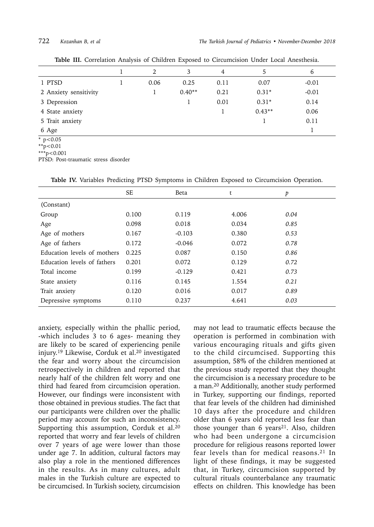|                          | 2    | 3        | 4    | 5        | 6       |
|--------------------------|------|----------|------|----------|---------|
| 1 PTSD                   | 0.06 | 0.25     | 0.11 | 0.07     | $-0.01$ |
| 2 Anxiety sensitivity    |      | $0.40**$ | 0.21 | $0.31*$  | $-0.01$ |
| 3 Depression             |      |          | 0.01 | $0.31*$  | 0.14    |
| 4 State anxiety          |      |          |      | $0.43**$ | 0.06    |
| 5 Trait anxiety          |      |          |      |          | 0.11    |
| 6 Age                    |      |          |      |          |         |
| $\frac{}{\ast p < 0.05}$ |      |          |      |          |         |

**Table III.** Correlation Analysis of Children Exposed to Circumcision Under Local Anesthesia.

 $*^{*}p<0.01$ 

 $***p<0.001$ 

PTSD: Post-traumatic stress disorder

|                             | <b>SE</b> | Beta     | t     | p    |
|-----------------------------|-----------|----------|-------|------|
| (Constant)                  |           |          |       |      |
| Group                       | 0.100     | 0.119    | 4.006 | 0.04 |
| Age                         | 0.098     | 0.018    | 0.034 | 0.85 |
| Age of mothers              | 0.167     | $-0.103$ | 0.380 | 0.53 |
| Age of fathers              | 0.172     | $-0.046$ | 0.072 | 0.78 |
| Education levels of mothers | 0.225     | 0.087    | 0.150 | 0.86 |
| Education levels of fathers | 0.201     | 0.072    | 0.129 | 0.72 |
| Total income                | 0.199     | $-0.129$ | 0.421 | 0.73 |
| State anxiety               | 0.116     | 0.145    | 1.554 | 0.21 |
| Trait anxiety               | 0.120     | 0.016    | 0.017 | 0.89 |
| Depressive symptoms         | 0.110     | 0.237    | 4.641 | 0.03 |

**Table IV.** Variables Predicting PTSD Symptoms in Children Exposed to Circumcision Operation.

anxiety, especially within the phallic period, -which includes 3 to 6 ages- meaning they are likely to be scared of experiencing penile injury.19 Likewise, Corduk et al.20 investigated the fear and worry about the circumcision retrospectively in children and reported that nearly half of the children felt worry and one third had feared from circumcision operation. However, our findings were inconsistent with those obtained in previous studies. The fact that our participants were children over the phallic period may account for such an inconsistency. Supporting this assumption, Corduk et al.<sup>20</sup> reported that worry and fear levels of children over 7 years of age were lower than those under age 7. In addition, cultural factors may also play a role in the mentioned differences in the results. As in many cultures, adult males in the Turkish culture are expected to be circumcised. In Turkish society, circumcision

may not lead to traumatic effects because the operation is performed in combination with various encouraging rituals and gifts given to the child circumcised. Supporting this assumption, 58% of the children mentioned at the previous study reported that they thought the circumcision is a necessary procedure to be a man.20 Additionally, another study performed in Turkey, supporting our findings, reported that fear levels of the children had diminished 10 days after the procedure and children older than 6 years old reported less fear than those younger than 6 years<sup>21</sup>. Also, children who had been undergone a circumcision procedure for religious reasons reported lower fear levels than for medical reasons.<sup>21</sup> In light of these findings, it may be suggested that, in Turkey, circumcision supported by cultural rituals counterbalance any traumatic effects on children. This knowledge has been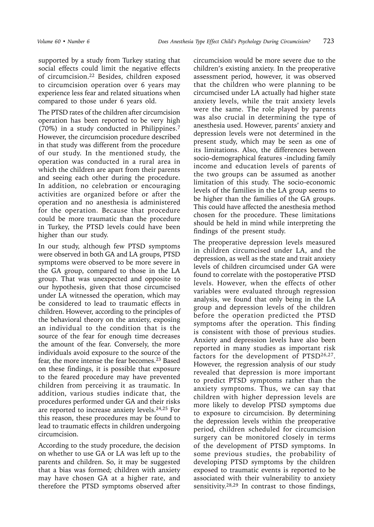supported by a study from Turkey stating that social effects could limit the negative effects of circumcision.<sup>22</sup> Besides, children exposed to circumcision operation over 6 years may experience less fear and related situations when compared to those under 6 years old.

The PTSD rates of the children after circumcision operation has been reported to be very high (70%) in a study conducted in Philippines.7 However, the circumcision procedure described in that study was different from the procedure of our study. In the mentioned study, the operation was conducted in a rural area in which the children are apart from their parents and seeing each other during the procedure. In addition, no celebration or encouraging activities are organized before or after the operation and no anesthesia is administered for the operation. Because that procedure could be more traumatic than the procedure in Turkey, the PTSD levels could have been higher than our study.

In our study, although few PTSD symptoms were observed in both GA and LA groups, PTSD symptoms were observed to be more severe in the GA group, compared to those in the LA group. That was unexpected and opposite to our hypothesis, given that those circumcised under LA witnessed the operation, which may be considered to lead to traumatic effects in children. However, according to the principles of the behavioral theory on the anxiety, exposing an individual to the condition that is the source of the fear for enough time decreases the amount of the fear. Conversely, the more individuals avoid exposure to the source of the fear, the more intense the fear becomes.<sup>23</sup> Based on these findings, it is possible that exposure to the feared procedure may have prevented children from perceiving it as traumatic. In addition, various studies indicate that, the procedures performed under GA and their risks are reported to increase anxiety levels.<sup>24,25</sup> For this reason, these procedures may be found to lead to traumatic effects in children undergoing circumcision.

According to the study procedure, the decision on whether to use GA or LA was left up to the parents and children. So, it may be suggested that a bias was formed; children with anxiety may have chosen GA at a higher rate, and therefore the PTSD symptoms observed after

circumcision would be more severe due to the children's existing anxiety. In the preoperative assessment period, however, it was observed that the children who were planning to be circumcised under LA actually had higher state anxiety levels, while the trait anxiety levels were the same. The role played by parents was also crucial in determining the type of anesthesia used. However, parents' anxiety and depression levels were not determined in the present study, which may be seen as one of its limitations. Also, the differences between socio-demographical features -including family income and education levels of parents of the two groups can be assumed as another limitation of this study. The socio-economic levels of the families in the LA group seems to be higher than the families of the GA groups. This could have affected the anesthesia method chosen for the procedure. These limitations should be held in mind while interpreting the findings of the present study.

The preoperative depression levels measured in children circumcised under LA, and the depression, as well as the state and trait anxiety levels of children circumcised under GA were found to correlate with the postoperative PTSD levels. However, when the effects of other variables were evaluated through regression analysis, we found that only being in the LA group and depression levels of the children before the operation predicted the PTSD symptoms after the operation. This finding is consistent with those of previous studies. Anxiety and depression levels have also been reported in many studies as important risk factors for the development of PTSD26,27. However, the regression analysis of our study revealed that depression is more important to predict PTSD symptoms rather than the anxiety symptoms. Thus, we can say that children with higher depression levels are more likely to develop PTSD symptoms due to exposure to circumcision. By determining the depression levels within the preoperative period, children scheduled for circumcision surgery can be monitored closely in terms of the development of PTSD symptoms. In some previous studies, the probability of developing PTSD symptoms by the children exposed to traumatic events is reported to be associated with their vulnerability to anxiety sensitivity.28,29 In contrast to those findings,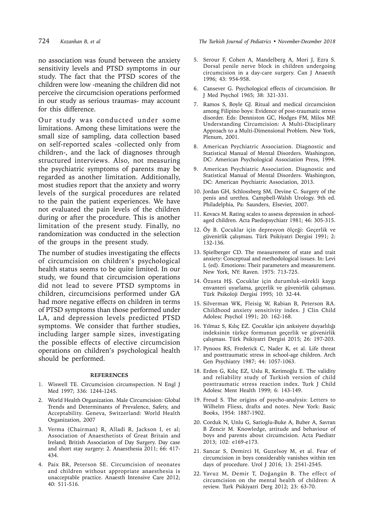no association was found between the anxiety sensitivity levels and PTSD symptoms in our study. The fact that the PTSD scores of the children were low -meaning the children did not perceive the circumcision operations performed in our study as serious traumas- may account for this difference.

Our study was conducted under some limitations. Among these limitations were the small size of sampling, data collection based on self-reported scales -collected only from children-, and the lack of diagnoses through structured interviews. Also, not measuring the psychiatric symptoms of parents may be regarded as another limitation. Additionally, most studies report that the anxiety and worry levels of the surgical procedures are related to the pain the patient experiences. We have not evaluated the pain levels of the children during or after the procedure. This is another limitation of the present study. Finally, no randomization was conducted in the selection of the groups in the present study.

The number of studies investigating the effects of circumcision on children's psychological health status seems to be quite limited. In our study, we found that circumcision operations did not lead to severe PTSD symptoms in children, circumcisions performed under GA had more negative effects on children in terms of PTSD symptoms than those performed under LA, and depression levels predicted PTSD symptoms. We consider that further studies, including larger sample sizes, investigating the possible effects of elective circumcision operations on children's psychological health should be performed.

#### **REFERENCES**

- 1. Wiswell TE. Circumcision circumspection. N Engl J Med 1997; 336: 1244-1245.
- 2. World Health Organization. Male Circumcision: Global Trends and Determinants of Prevalence, Safety, and Acceptability. Geneva, Switzerland: World Health Organization, 2007
- 3. Verma (Chairman) R, Alladi R, Jackson I, et al; [Association of Anaesthetists of Great Britain and](https://www.ncbi.nlm.nih.gov/pubmed/?term=Association of Anaesthetists of Great Britain and Ireland%5BCorporate Author%5D) [Ireland;](https://www.ncbi.nlm.nih.gov/pubmed/?term=Association of Anaesthetists of Great Britain and Ireland%5BCorporate Author%5D) [British Association of Day Surgery](https://www.ncbi.nlm.nih.gov/pubmed/?term=British Association of Day Surgery%5BCorporate Author%5D). Day case and short stay surgery: 2. Anaesthesia 2011; 66: 417- 434.
- 4. Paix BR, Peterson SE. Circumcision of neonates and children without appropriate anaesthesia is unacceptable practice. Anaesth Intensive Care 2012; 40: 511-516.

724 *Kozanhan B, et al The Turkish Journal of Pediatrics • November-December 2018*

- 5. Serour F, Cohen A, Mandelberg A, Mori J, Ezra S. Dorsal penile nerve block in children undergoing circumcision in a day-care surgery. Can J Anaesth 1996; 43: 954-958.
- 6. Cansever G. Psychological effects of circumcision. Br J Med Psychol 1965; 38: 321-331.
- 7. Ramos S, Boyle GJ. Ritual and medical circumcision among Filipino boys: Evidence of post-traumatic stress disorder. Eds: Denniston GC, Hodges FM, Milos MF. Understanding Circumcision: A Multi-Disciplinary Approach to a Multi-Dimensional Problem. New York, Plenum, 2001.
- 8. American Psychiatric Association. Diagnostic and Statistical Manual of Mental Disorders. Washington, DC: American Psychological Association Press, 1994.
- 9. American Psychiatric Association. Diagnostic and Statistical Manual of Mental Disorders. Washington, DC: American Psychiatric Association, 2013.
- 10. Jordan GH, Schlossberg SM, Devine C. Surgery of the penis and urethra. Campbell-Walsh Urology. 9th ed. Philadelphia, Pa: Saunders, Elsevier, 2007.
- 11. Kovacs M. Rating scales to assess depression in schoolaged children. Acta Paedopsychiatr 1981; 46: 305-315.
- 12. Öy B. Çocuklar için depresyon ölçeği: Geçerlik ve güvenirlik çalışması. Türk Psikiyatri Dergisi 1991; 2: 132-136.
- 13. Spielberger CD. The measurement of state and trait anxiety: Conceptual and methodological issues. In: Levi L (ed). Emotions: Their parameters and measurement. New York, NY: Raven. 1975: 713-725.
- 14. Özusta HŞ. Çocuklar için durumluk-sürekli kaygı envanteri uyarlama, geçerlik ve güvenirlik çalışması. Türk Psikoloji Dergisi 1995; 10: 32-44.
- 15. Silverman WK, Fleisig W, Rabian B, Peterson RA. Childhood anxiety sensitivity index. J Clin Child Adolesc Psychol 1991; 20: 162-168.
- 16. Yılmaz S, Kılıç EZ. Çocuklar için anksiyete duyarlılığı indeksinin türkçe formunun geçerlik ve güvenirlik çalışması. Türk Psikiyatri Dergisi 2015; 26: 197-203.
- 17. Pynoos RS, Frederick C, Nader K, et al. Life threat and posttraumatic stress in school-age children. Arch Gen Psychiatry 1987; 44: 1057-1063.
- 18. Erden G, Kılıç EZ, Uslu R, Kerimoğlu E. The validity and reliability study of Turkish version of child posttraumatic stress reaction index. Turk J Child Adolesc Ment Health 1999; 6: 143-149.
- 19. Freud S. The origins of psycho-analysis: Letters to Wilhelm Fliess, drafts and notes. New York: Basic Books, 1954: 1887-1902.
- 20. Corduk N, Unlu G, Sarioglu-Buke A, Buber A, Savran B Zencir M. Knowledge, attitude and behaviour of boys and parents about circumcision. Acta Paediatr 2013; 102: e169-e173.
- 21. Sancar S, Demirci H, Guzelsoy M, et al. Fear of circumcision in boys considerably vanishes within ten days of procedure. Urol J 2016; 13: 2541-2545.
- 22. Yavuz M, Demir T, Doğangün B. The effect of circumcision on the mental health of children: A review. Turk Psikiyatri Derg 2012; 23: 63-70.